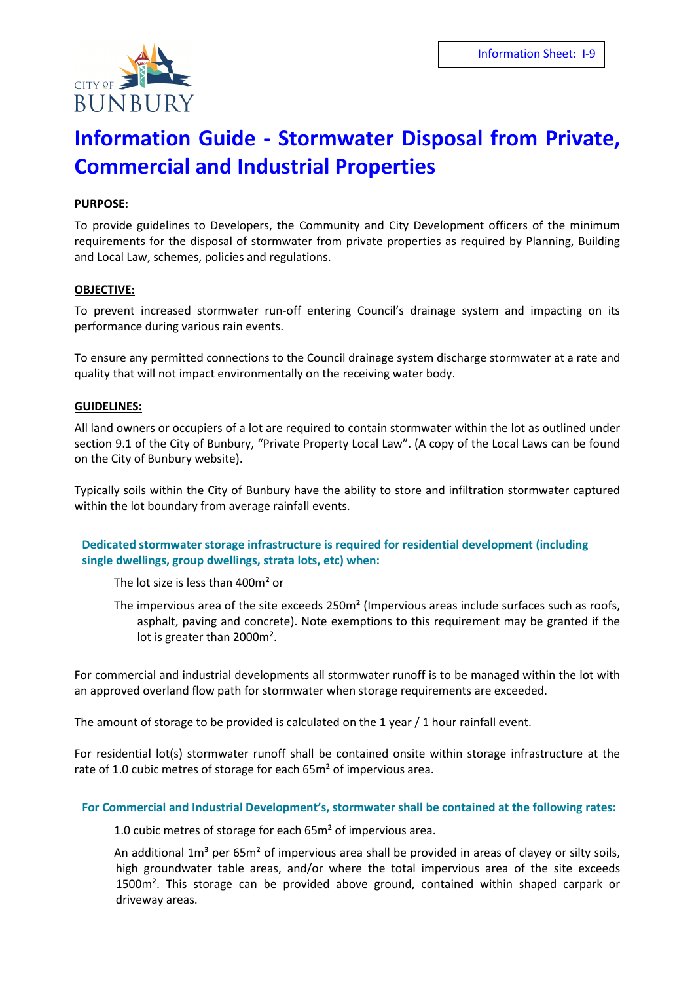

# **Information Guide - Stormwater Disposal from Private, Commercial and Industrial Properties**

## **PURPOSE:**

To provide guidelines to Developers, the Community and City Development officers of the minimum requirements for the disposal of stormwater from private properties as required by Planning, Building and Local Law, schemes, policies and regulations.

#### **OBJECTIVE:**

To prevent increased stormwater run-off entering Council's drainage system and impacting on its performance during various rain events.

To ensure any permitted connections to the Council drainage system discharge stormwater at a rate and quality that will not impact environmentally on the receiving water body.

#### **GUIDELINES:**

All land owners or occupiers of a lot are required to contain stormwater within the lot as outlined under section 9.1 of the City of Bunbury, "Private Property Local Law". (A copy of the Local Laws can be found on the City of Bunbury website).

Typically soils within the City of Bunbury have the ability to store and infiltration stormwater captured within the lot boundary from average rainfall events.

## **Dedicated stormwater storage infrastructure is required for residential development (including single dwellings, group dwellings, strata lots, etc) when:**

The lot size is less than 400m² or

The impervious area of the site exceeds 250m² (Impervious areas include surfaces such as roofs, asphalt, paving and concrete). Note exemptions to this requirement may be granted if the lot is greater than 2000m².

For commercial and industrial developments all stormwater runoff is to be managed within the lot with an approved overland flow path for stormwater when storage requirements are exceeded.

The amount of storage to be provided is calculated on the 1 year / 1 hour rainfall event.

For residential lot(s) stormwater runoff shall be contained onsite within storage infrastructure at the rate of 1.0 cubic metres of storage for each 65m<sup>2</sup> of impervious area.

### **For Commercial and Industrial Development's, stormwater shall be contained at the following rates:**

1.0 cubic metres of storage for each 65m² of impervious area.

An additional  $1m<sup>3</sup>$  per 65 $m<sup>2</sup>$  of impervious area shall be provided in areas of clayey or silty soils, high groundwater table areas, and/or where the total impervious area of the site exceeds 1500m². This storage can be provided above ground, contained within shaped carpark or driveway areas.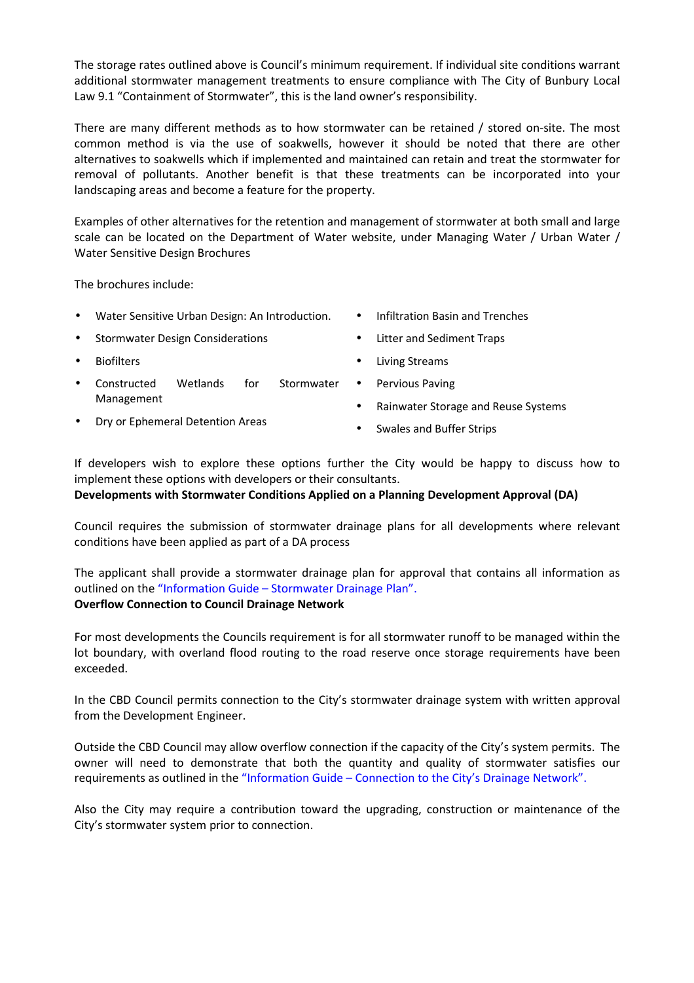The storage rates outlined above is Council's minimum requirement. If individual site conditions warrant additional stormwater management treatments to ensure compliance with The City of Bunbury Local Law 9.1 "Containment of Stormwater", this is the land owner's responsibility.

There are many different methods as to how stormwater can be retained / stored on-site. The most common method is via the use of soakwells, however it should be noted that there are other alternatives to soakwells which if implemented and maintained can retain and treat the stormwater for removal of pollutants. Another benefit is that these treatments can be incorporated into your landscaping areas and become a feature for the property.

Examples of other alternatives for the retention and management of stormwater at both small and large scale can be located on the Department of Water website, under Managing Water / Urban Water / Water Sensitive Design Brochures

The brochures include:

- Water Sensitive Urban Design: An Introduction.
- Stormwater Design Considerations
- **Biofilters**
- Constructed Wetlands for Stormwater Management
- Infiltration Basin and Trenches
- Litter and Sediment Traps
- Living Streams

Pervious Paving

- - Rainwater Storage and Reuse Systems
	- Swales and Buffer Strips

If developers wish to explore these options further the City would be happy to discuss how to implement these options with developers or their consultants.

## **Developments with Stormwater Conditions Applied on a Planning Development Approval (DA)**

Council requires the submission of stormwater drainage plans for all developments where relevant conditions have been applied as part of a DA process

The applicant shall provide a stormwater drainage plan for approval that contains all information as outlined on the "Information Guide – Stormwater Drainage Plan". **Overflow Connection to Council Drainage Network** 

# For most developments the Councils requirement is for all stormwater runoff to be managed within the lot boundary, with overland flood routing to the road reserve once storage requirements have been exceeded.

In the CBD Council permits connection to the City's stormwater drainage system with written approval from the Development Engineer.

Outside the CBD Council may allow overflow connection if the capacity of the City's system permits. The owner will need to demonstrate that both the quantity and quality of stormwater satisfies our requirements as outlined in the "Information Guide – Connection to the City's Drainage Network".

Also the City may require a contribution toward the upgrading, construction or maintenance of the City's stormwater system prior to connection.

• Dry or Ephemeral Detention Areas